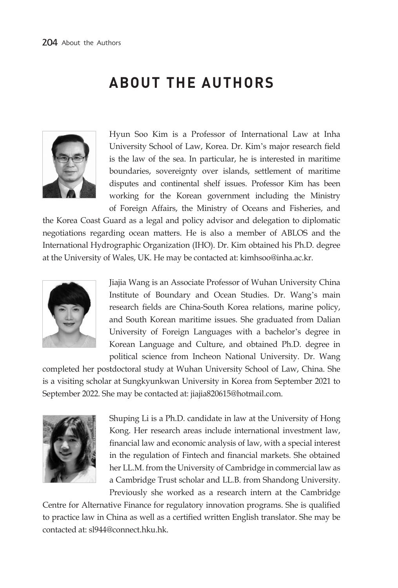## **ABOUT THE AUTHORS**



Hyun Soo Kim is a Professor of International Law at Inha University School of Law, Korea. Dr. Kim's major research field is the law of the sea. In particular, he is interested in maritime boundaries, sovereignty over islands, settlement of maritime disputes and continental shelf issues. Professor Kim has been working for the Korean government including the Ministry of Foreign Affairs, the Ministry of Oceans and Fisheries, and

the Korea Coast Guard as a legal and policy advisor and delegation to diplomatic negotiations regarding ocean matters. He is also a member of ABLOS and the International Hydrographic Organization (IHO). Dr. Kim obtained his Ph.D. degree at the University of Wales, UK. He may be contacted at: kimhsoo@inha.ac.kr.



Jiajia Wang is an Associate Professor of Wuhan University China Institute of Boundary and Ocean Studies. Dr. Wang's main research fields are China-South Korea relations, marine policy, and South Korean maritime issues. She graduated from Dalian University of Foreign Languages with a bachelor's degree in Korean Language and Culture, and obtained Ph.D. degree in political science from Incheon National University. Dr. Wang

completed her postdoctoral study at Wuhan University School of Law, China. She is a visiting scholar at Sungkyunkwan University in Korea from September 2021 to September 2022. She may be contacted at: jiajia820615@hotmail.com.



Shuping Li is a Ph.D. candidate in law at the University of Hong Kong. Her research areas include international investment law, financial law and economic analysis of law, with a special interest in the regulation of Fintech and financial markets. She obtained her LL.M. from the University of Cambridge in commercial law as a Cambridge Trust scholar and LL.B. from Shandong University. Previously she worked as a research intern at the Cambridge

Centre for Alternative Finance for regulatory innovation programs. She is qualified to practice law in China as well as a certified written English translator. She may be contacted at: sl944@connect.hku.hk.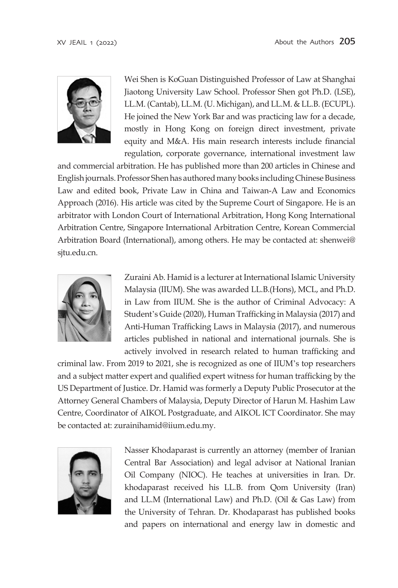

Wei Shen is KoGuan Distinguished Professor of Law at Shanghai Jiaotong University Law School. Professor Shen got Ph.D. (LSE), LL.M. (Cantab), LL.M. (U. Michigan), and LL.M. & LL.B. (ECUPL). He joined the New York Bar and was practicing law for a decade, mostly in Hong Kong on foreign direct investment, private equity and M&A. His main research interests include financial regulation, corporate governance, international investment law

and commercial arbitration. He has published more than 200 articles in Chinese and English journals. Professor Shen has authored many books including Chinese Business Law and edited book, Private Law in China and Taiwan-A Law and Economics Approach (2016). His article was cited by the Supreme Court of Singapore. He is an arbitrator with London Court of International Arbitration, Hong Kong International Arbitration Centre, Singapore International Arbitration Centre, Korean Commercial Arbitration Board (International), among others. He may be contacted at: shenwei@ sjtu.edu.cn.



Zuraini Ab. Hamid is a lecturer at International Islamic University Malaysia (IIUM). She was awarded LL.B.(Hons), MCL, and Ph.D. in Law from IIUM. She is the author of Criminal Advocacy: A Student's Guide (2020), Human Trafficking in Malaysia (2017) and Anti-Human Trafficking Laws in Malaysia (2017), and numerous articles published in national and international journals. She is actively involved in research related to human trafficking and

criminal law. From 2019 to 2021, she is recognized as one of IIUM's top researchers and a subject matter expert and qualified expert witness for human trafficking by the US Department of Justice. Dr. Hamid was formerly a Deputy Public Prosecutor at the Attorney General Chambers of Malaysia, Deputy Director of Harun M. Hashim Law Centre, Coordinator of AIKOL Postgraduate, and AIKOL ICT Coordinator. She may be contacted at: zurainihamid@iium.edu.my.



Nasser Khodaparast is currently an attorney (member of Iranian Central Bar Association) and legal advisor at National Iranian Oil Company (NIOC). He teaches at universities in Iran. Dr. khodaparast received his LL.B. from Qom University (Iran) and LL.M (International Law) and Ph.D. (Oil & Gas Law) from the University of Tehran. Dr. Khodaparast has published books and papers on international and energy law in domestic and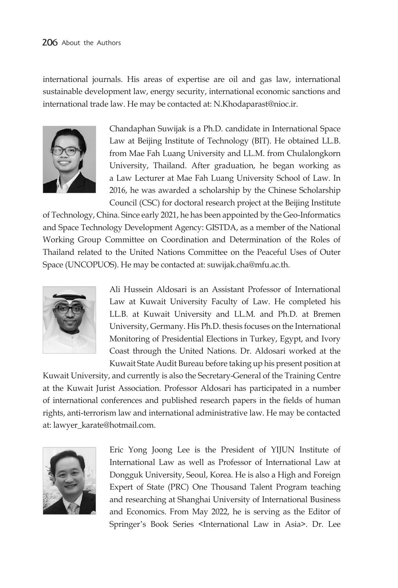international journals. His areas of expertise are oil and gas law, international sustainable development law, energy security, international economic sanctions and international trade law. He may be contacted at: N.Khodaparast@nioc.ir.



Chandaphan Suwijak is a Ph.D. candidate in International Space Law at Beijing Institute of Technology (BIT). He obtained LL.B. from Mae Fah Luang University and LL.M. from Chulalongkorn University, Thailand. After graduation, he began working as a Law Lecturer at Mae Fah Luang University School of Law. In 2016, he was awarded a scholarship by the Chinese Scholarship Council (CSC) for doctoral research project at the Beijing Institute

of Technology, China. Since early 2021, he has been appointed by the Geo-Informatics and Space Technology Development Agency: GISTDA, as a member of the National Working Group Committee on Coordination and Determination of the Roles of Thailand related to the United Nations Committee on the Peaceful Uses of Outer Space (UNCOPUOS). He may be contacted at: suwijak.cha@mfu.ac.th.



Ali Hussein Aldosari is an Assistant Professor of International Law at Kuwait University Faculty of Law. He completed his LL.B. at Kuwait University and LL.M. and Ph.D. at Bremen University, Germany. His Ph.D. thesis focuses on the International Monitoring of Presidential Elections in Turkey, Egypt, and Ivory Coast through the United Nations. Dr. Aldosari worked at the Kuwait State Audit Bureau before taking up his present position at

Kuwait University, and currently is also the Secretary-General of the Training Centre at the Kuwait Jurist Association. Professor Aldosari has participated in a number of international conferences and published research papers in the fields of human rights, anti-terrorism law and international administrative law. He may be contacted at: lawyer\_karate@hotmail.com.



Eric Yong Joong Lee is the President of YIJUN Institute of International Law as well as Professor of International Law at Dongguk University, Seoul, Korea. He is also a High and Foreign Expert of State (PRC) One Thousand Talent Program teaching and researching at Shanghai University of International Business and Economics. From May 2022, he is serving as the Editor of Springer's Book Series <International Law in Asia>. Dr. Lee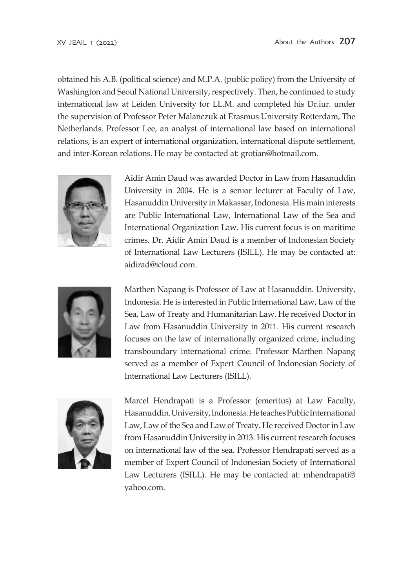obtained his A.B. (political science) and M.P.A. (public policy) from the University of Washington and Seoul National University, respectively. Then, he continued to study international law at Leiden University for LL.M. and completed his Dr.iur. under the supervision of Professor Peter Malanczuk at Erasmus University Rotterdam, The Netherlands. Professor Lee, an analyst of international law based on international relations, is an expert of international organization, international dispute settlement, and inter-Korean relations. He may be contacted at: grotian@hotmail.com.



Aidir Amin Daud was awarded Doctor in Law from Hasanuddin University in 2004. He is a senior lecturer at Faculty of Law, Hasanuddin University in Makassar, Indonesia. His main interests are Public International Law, International Law of the Sea and International Organization Law. His current focus is on maritime crimes. Dr. Aidir Amin Daud is a member of Indonesian Society of International Law Lecturers (ISILL). He may be contacted at: aidirad@icloud.com.



Marthen Napang is Professor of Law at Hasanuddin. University, Indonesia. He is interested in Public International Law, Law of the Sea, Law of Treaty and Humanitarian Law. He received Doctor in Law from Hasanuddin University in 2011. His current research focuses on the law of internationally organized crime, including transboundary international crime. Professor Marthen Napang served as a member of Expert Council of Indonesian Society of International Law Lecturers (ISILL).



Marcel Hendrapati is a Professor (emeritus) at Law Faculty, Hasanuddin. University, Indonesia. He teaches Public International Law, Law of the Sea and Law of Treaty. He received Doctor in Law from Hasanuddin University in 2013. His current research focuses on international law of the sea. Professor Hendrapati served as a member of Expert Council of Indonesian Society of International Law Lecturers (ISILL). He may be contacted at: mhendrapati@ yahoo.com.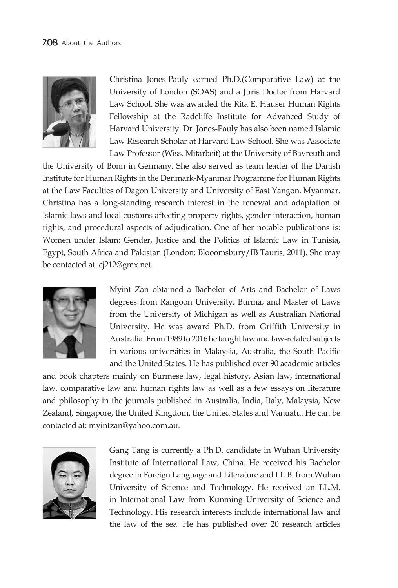

Christina Jones-Pauly earned Ph.D.(Comparative Law) at the University of London (SOAS) and a Juris Doctor from Harvard Law School. She was awarded the Rita E. Hauser Human Rights Fellowship at the Radcliffe Institute for Advanced Study of Harvard University. Dr. Jones-Pauly has also been named Islamic Law Research Scholar at Harvard Law School. She was Associate Law Professor (Wiss. Mitarbeit) at the University of Bayreuth and

the University of Bonn in Germany. She also served as team leader of the Danish Institute for Human Rights in the Denmark-Myanmar Programme for Human Rights at the Law Faculties of Dagon University and University of East Yangon, Myanmar. Christina has a long-standing research interest in the renewal and adaptation of Islamic laws and local customs affecting property rights, gender interaction, human rights, and procedural aspects of adjudication. One of her notable publications is: Women under Islam: Gender, Justice and the Politics of Islamic Law in Tunisia, Egypt, South Africa and Pakistan (London: Blooomsbury/IB Tauris, 2011). She may be contacted at: cj212@gmx.net.



Myint Zan obtained a Bachelor of Arts and Bachelor of Laws degrees from Rangoon University, Burma, and Master of Laws from the University of Michigan as well as Australian National University. He was award Ph.D. from Griffith University in Australia. From 1989 to 2016 he taught law and law-related subjects in various universities in Malaysia, Australia, the South Pacific and the United States. He has published over 90 academic articles

and book chapters mainly on Burmese law, legal history, Asian law, international law, comparative law and human rights law as well as a few essays on literature and philosophy in the journals published in Australia, India, Italy, Malaysia, New Zealand, Singapore, the United Kingdom, the United States and Vanuatu. He can be contacted at: myintzan@yahoo.com.au.



Gang Tang is currently a Ph.D. candidate in Wuhan University Institute of International Law, China. He received his Bachelor degree in Foreign Language and Literature and LL.B. from Wuhan University of Science and Technology. He received an LL.M. in International Law from Kunming University of Science and Technology. His research interests include international law and the law of the sea. He has published over 20 research articles